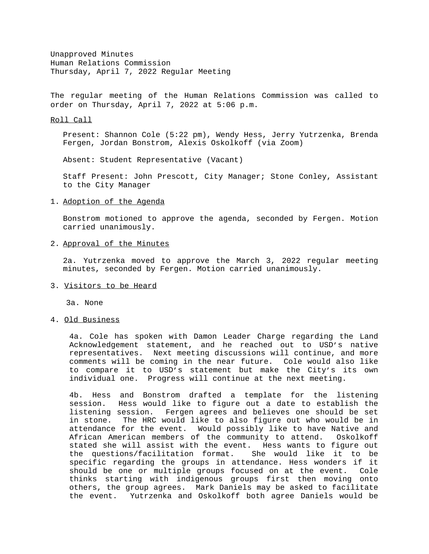Unapproved Minutes Human Relations Commission Thursday, April 7, 2022 Regular Meeting

The regular meeting of the Human Relations Commission was called to order on Thursday, April 7, 2022 at 5:06 p.m.

#### Roll Call

Present: Shannon Cole (5:22 pm), Wendy Hess, Jerry Yutrzenka, Brenda Fergen, Jordan Bonstrom, Alexis Oskolkoff (via Zoom)

Absent: Student Representative (Vacant)

Staff Present: John Prescott, City Manager; Stone Conley, Assistant to the City Manager

### 1. Adoption of the Agenda

Bonstrom motioned to approve the agenda, seconded by Fergen. Motion carried unanimously.

### 2. Approval of the Minutes

2a. Yutrzenka moved to approve the March 3, 2022 regular meeting minutes, seconded by Fergen. Motion carried unanimously.

### 3. Visitors to be Heard

3a. None

## 4. Old Business

4a. Cole has spoken with Damon Leader Charge regarding the Land Acknowledgement statement, and he reached out to USD's native representatives. Next meeting discussions will continue, and more comments will be coming in the near future. Cole would also like to compare it to USD's statement but make the City's its own individual one. Progress will continue at the next meeting.

4b. Hess and Bonstrom drafted a template for the listening session. Hess would like to figure out a date to establish the listening session. Fergen agrees and believes one should be set in stone. The HRC would like to also figure out who would be in attendance for the event. Would possibly like to have Native and African American members of the community to attend. Oskolkoff stated she will assist with the event. Hess wants to figure out the questions/facilitation format. She would like it to be specific regarding the groups in attendance. Hess wonders if it should be one or multiple groups focused on at the event. Cole thinks starting with indigenous groups first then moving onto others, the group agrees. Mark Daniels may be asked to facilitate the event. Yutrzenka and Oskolkoff both agree Daniels would be